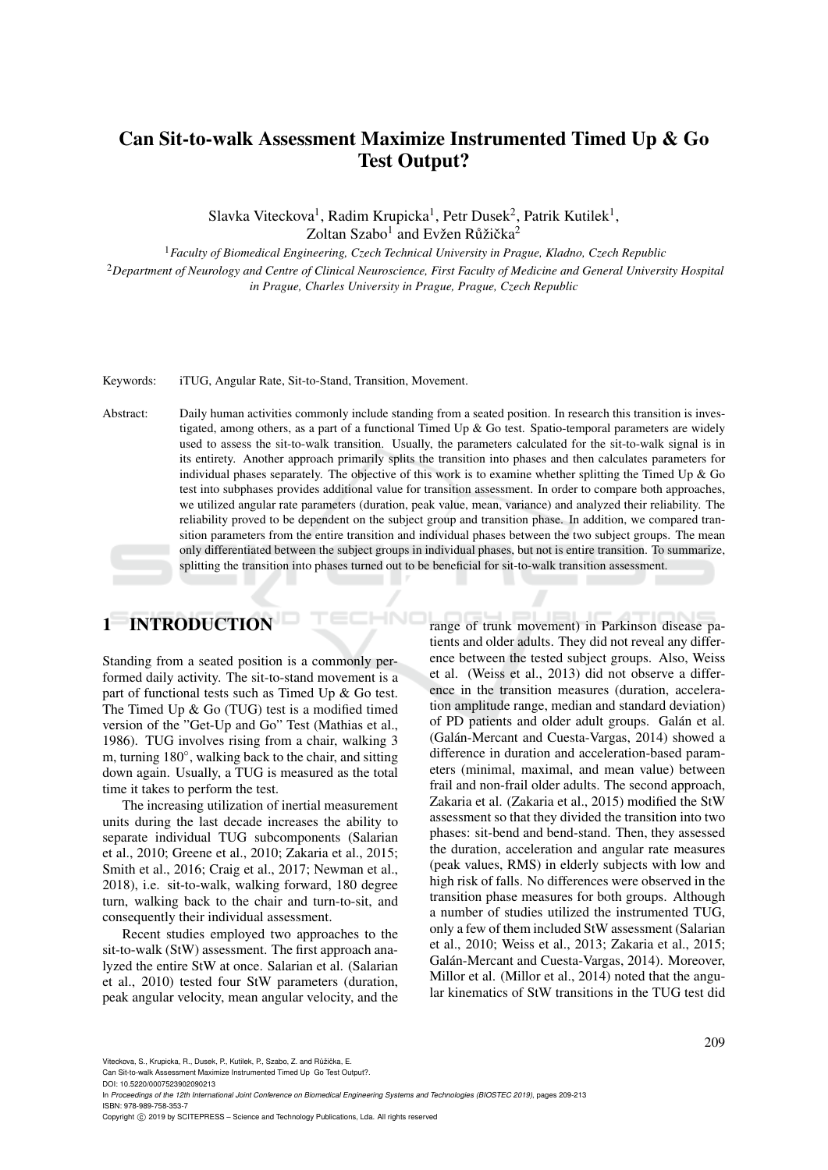# Can Sit-to-walk Assessment Maximize Instrumented Timed Up & Go Test Output?

Slavka Viteckova<sup>1</sup>, Radim Krupicka<sup>1</sup>, Petr Dusek<sup>2</sup>, Patrik Kutilek<sup>1</sup>, Zoltan Szabo<sup>1</sup> and Evžen Růžička<sup>2</sup>

<sup>1</sup>*Faculty of Biomedical Engineering, Czech Technical University in Prague, Kladno, Czech Republic*

<sup>2</sup>*Department of Neurology and Centre of Clinical Neuroscience, First Faculty of Medicine and General University Hospital in Prague, Charles University in Prague, Prague, Czech Republic*

Keywords: iTUG, Angular Rate, Sit-to-Stand, Transition, Movement.

Abstract: Daily human activities commonly include standing from a seated position. In research this transition is investigated, among others, as a part of a functional Timed Up & Go test. Spatio-temporal parameters are widely used to assess the sit-to-walk transition. Usually, the parameters calculated for the sit-to-walk signal is in its entirety. Another approach primarily splits the transition into phases and then calculates parameters for individual phases separately. The objective of this work is to examine whether splitting the Timed Up  $\&$  Go test into subphases provides additional value for transition assessment. In order to compare both approaches, we utilized angular rate parameters (duration, peak value, mean, variance) and analyzed their reliability. The reliability proved to be dependent on the subject group and transition phase. In addition, we compared transition parameters from the entire transition and individual phases between the two subject groups. The mean only differentiated between the subject groups in individual phases, but not is entire transition. To summarize, splitting the transition into phases turned out to be beneficial for sit-to-walk transition assessment.

НN

# 1 INTRODUCTION

Standing from a seated position is a commonly performed daily activity. The sit-to-stand movement is a part of functional tests such as Timed Up & Go test. The Timed Up & Go (TUG) test is a modified timed version of the "Get-Up and Go" Test (Mathias et al., 1986). TUG involves rising from a chair, walking 3 m, turning 180°, walking back to the chair, and sitting down again. Usually, a TUG is measured as the total time it takes to perform the test.

The increasing utilization of inertial measurement units during the last decade increases the ability to separate individual TUG subcomponents (Salarian et al., 2010; Greene et al., 2010; Zakaria et al., 2015; Smith et al., 2016; Craig et al., 2017; Newman et al., 2018), i.e. sit-to-walk, walking forward, 180 degree turn, walking back to the chair and turn-to-sit, and consequently their individual assessment.

Recent studies employed two approaches to the sit-to-walk (StW) assessment. The first approach analyzed the entire StW at once. Salarian et al. (Salarian et al., 2010) tested four StW parameters (duration, peak angular velocity, mean angular velocity, and the range of trunk movement) in Parkinson disease patients and older adults. They did not reveal any difference between the tested subject groups. Also, Weiss et al. (Weiss et al., 2013) did not observe a difference in the transition measures (duration, acceleration amplitude range, median and standard deviation) of PD patients and older adult groups. Galán et al. (Galán-Mercant and Cuesta-Vargas, 2014) showed a difference in duration and acceleration-based parameters (minimal, maximal, and mean value) between frail and non-frail older adults. The second approach, Zakaria et al. (Zakaria et al., 2015) modified the StW assessment so that they divided the transition into two phases: sit-bend and bend-stand. Then, they assessed the duration, acceleration and angular rate measures (peak values, RMS) in elderly subjects with low and high risk of falls. No differences were observed in the transition phase measures for both groups. Although a number of studies utilized the instrumented TUG, only a few of them included StW assessment (Salarian et al., 2010; Weiss et al., 2013; Zakaria et al., 2015; Galán-Mercant and Cuesta-Vargas, 2014). Moreover, Millor et al. (Millor et al., 2014) noted that the angular kinematics of StW transitions in the TUG test did

Viteckova, S., Krupicka, R., Dusek, P., Kutilek, P., Szabo, Z. and Růžička, E.

Can Sit-to-walk Assessment Maximize Instrumented Timed Up Go Test Output?.

DOI: 10.5220/0007523902090213

In *Proceedings of the 12th International Joint Conference on Biomedical Engineering Systems and Technologies (BIOSTEC 2019)*, pages 209-213 ISBN: 978-989-758-353-7

Copyright (C) 2019 by SCITEPRESS - Science and Technology Publications, Lda. All rights reserved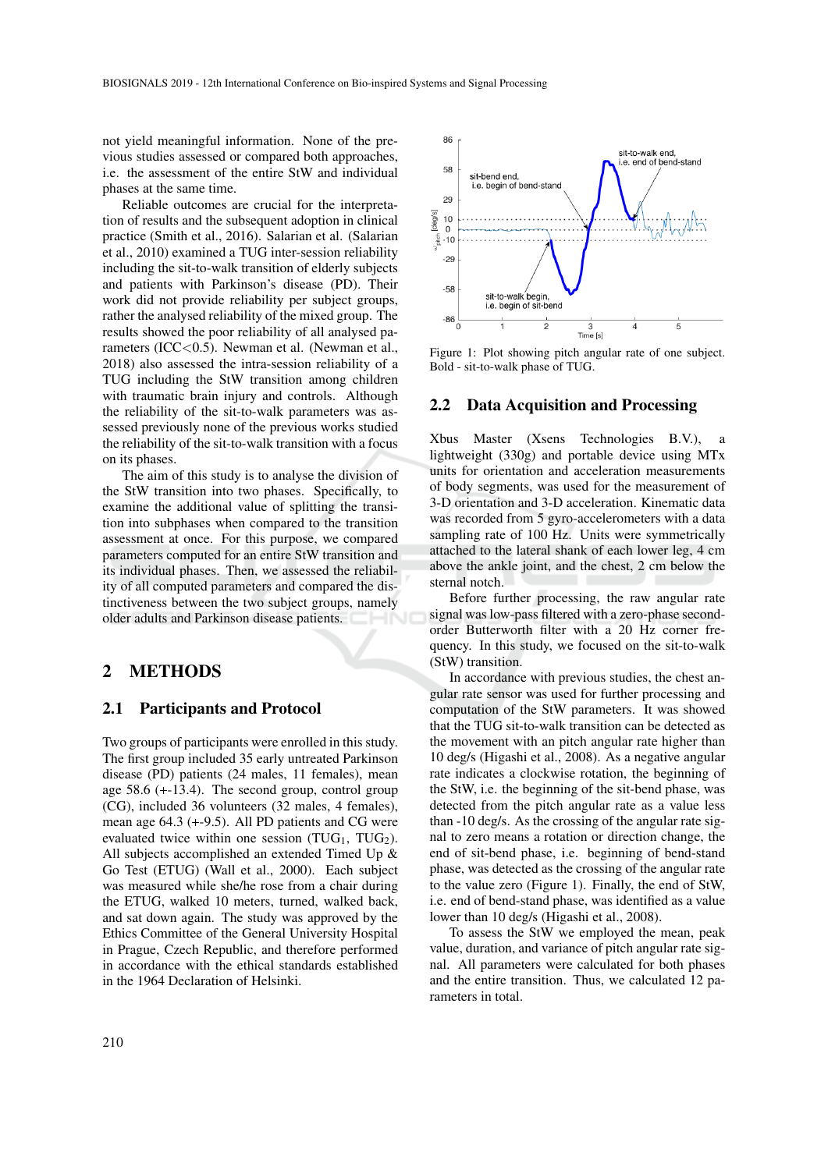not yield meaningful information. None of the previous studies assessed or compared both approaches, i.e. the assessment of the entire StW and individual phases at the same time.

Reliable outcomes are crucial for the interpretation of results and the subsequent adoption in clinical practice (Smith et al., 2016). Salarian et al. (Salarian et al., 2010) examined a TUG inter-session reliability including the sit-to-walk transition of elderly subjects and patients with Parkinson's disease (PD). Their work did not provide reliability per subject groups, rather the analysed reliability of the mixed group. The results showed the poor reliability of all analysed parameters (ICC<0.5). Newman et al. (Newman et al., 2018) also assessed the intra-session reliability of a TUG including the StW transition among children with traumatic brain injury and controls. Although the reliability of the sit-to-walk parameters was assessed previously none of the previous works studied the reliability of the sit-to-walk transition with a focus on its phases.

The aim of this study is to analyse the division of the StW transition into two phases. Specifically, to examine the additional value of splitting the transition into subphases when compared to the transition assessment at once. For this purpose, we compared parameters computed for an entire StW transition and its individual phases. Then, we assessed the reliability of all computed parameters and compared the distinctiveness between the two subject groups, namely older adults and Parkinson disease patients.

### 2 METHODS

#### 2.1 Participants and Protocol

Two groups of participants were enrolled in this study. The first group included 35 early untreated Parkinson disease (PD) patients (24 males, 11 females), mean age 58.6 (+-13.4). The second group, control group (CG), included 36 volunteers (32 males, 4 females), mean age 64.3 (+-9.5). All PD patients and CG were evaluated twice within one session (TUG<sub>1</sub>, TUG<sub>2</sub>). All subjects accomplished an extended Timed Up & Go Test (ETUG) (Wall et al., 2000). Each subject was measured while she/he rose from a chair during the ETUG, walked 10 meters, turned, walked back, and sat down again. The study was approved by the Ethics Committee of the General University Hospital in Prague, Czech Republic, and therefore performed in accordance with the ethical standards established in the 1964 Declaration of Helsinki.



Figure 1: Plot showing pitch angular rate of one subject. Bold - sit-to-walk phase of TUG.

#### 2.2 Data Acquisition and Processing

Xbus Master (Xsens Technologies B.V.), lightweight (330g) and portable device using MTx units for orientation and acceleration measurements of body segments, was used for the measurement of 3-D orientation and 3-D acceleration. Kinematic data was recorded from 5 gyro-accelerometers with a data sampling rate of 100 Hz. Units were symmetrically attached to the lateral shank of each lower leg, 4 cm above the ankle joint, and the chest, 2 cm below the sternal notch.

Before further processing, the raw angular rate signal was low-pass filtered with a zero-phase secondorder Butterworth filter with a 20 Hz corner frequency. In this study, we focused on the sit-to-walk (StW) transition.

In accordance with previous studies, the chest angular rate sensor was used for further processing and computation of the StW parameters. It was showed that the TUG sit-to-walk transition can be detected as the movement with an pitch angular rate higher than 10 deg/s (Higashi et al., 2008). As a negative angular rate indicates a clockwise rotation, the beginning of the StW, i.e. the beginning of the sit-bend phase, was detected from the pitch angular rate as a value less than -10 deg/s. As the crossing of the angular rate signal to zero means a rotation or direction change, the end of sit-bend phase, i.e. beginning of bend-stand phase, was detected as the crossing of the angular rate to the value zero (Figure 1). Finally, the end of StW, i.e. end of bend-stand phase, was identified as a value lower than 10 deg/s (Higashi et al., 2008).

To assess the StW we employed the mean, peak value, duration, and variance of pitch angular rate signal. All parameters were calculated for both phases and the entire transition. Thus, we calculated 12 parameters in total.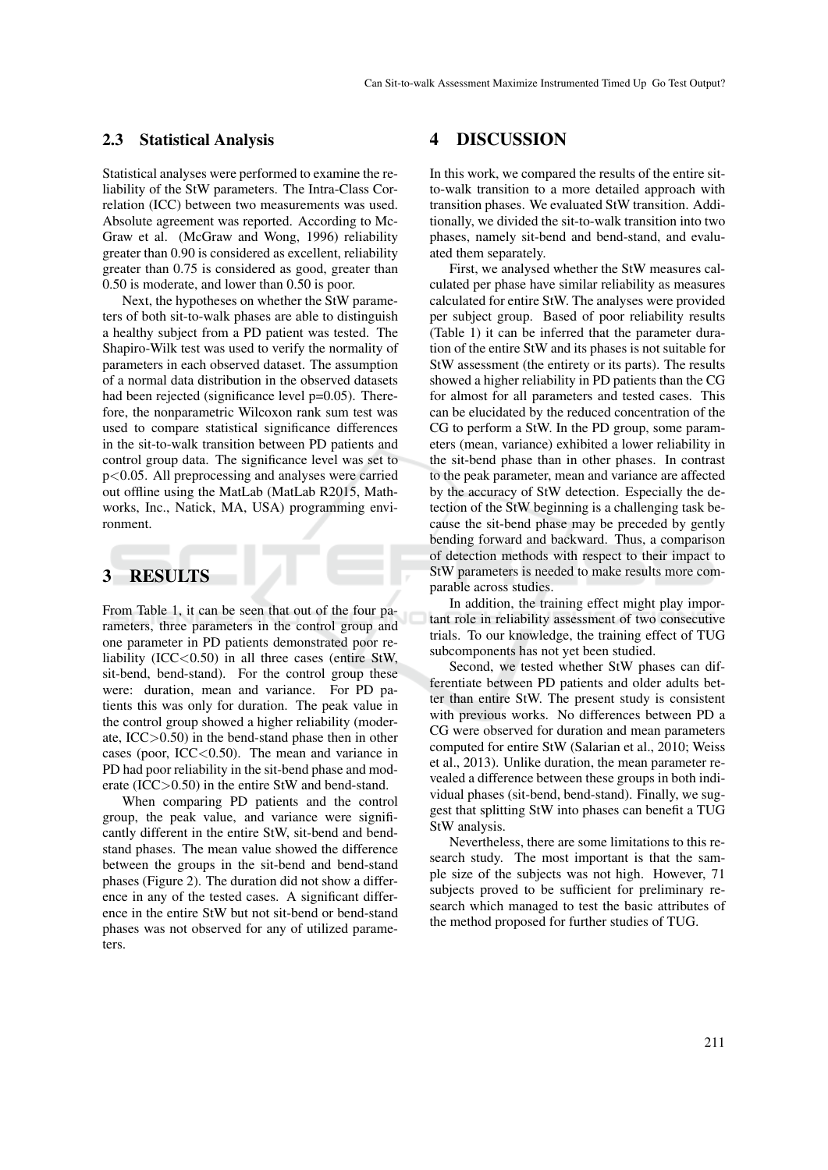#### 2.3 Statistical Analysis

Statistical analyses were performed to examine the reliability of the StW parameters. The Intra-Class Correlation (ICC) between two measurements was used. Absolute agreement was reported. According to Mc-Graw et al. (McGraw and Wong, 1996) reliability greater than 0.90 is considered as excellent, reliability greater than 0.75 is considered as good, greater than 0.50 is moderate, and lower than 0.50 is poor.

Next, the hypotheses on whether the StW parameters of both sit-to-walk phases are able to distinguish a healthy subject from a PD patient was tested. The Shapiro-Wilk test was used to verify the normality of parameters in each observed dataset. The assumption of a normal data distribution in the observed datasets had been rejected (significance level p=0.05). Therefore, the nonparametric Wilcoxon rank sum test was used to compare statistical significance differences in the sit-to-walk transition between PD patients and control group data. The significance level was set to p<0.05. All preprocessing and analyses were carried out offline using the MatLab (MatLab R2015, Mathworks, Inc., Natick, MA, USA) programming environment.

## 3 RESULTS

From Table 1, it can be seen that out of the four parameters, three parameters in the control group and one parameter in PD patients demonstrated poor reliability  $(ICC<0.50)$  in all three cases (entire StW, sit-bend, bend-stand). For the control group these were: duration, mean and variance. For PD patients this was only for duration. The peak value in the control group showed a higher reliability (moderate, ICC>0.50) in the bend-stand phase then in other cases (poor,  $ICC<0.50$ ). The mean and variance in PD had poor reliability in the sit-bend phase and moderate (ICC>0.50) in the entire StW and bend-stand.

When comparing PD patients and the control group, the peak value, and variance were significantly different in the entire StW, sit-bend and bendstand phases. The mean value showed the difference between the groups in the sit-bend and bend-stand phases (Figure 2). The duration did not show a difference in any of the tested cases. A significant difference in the entire StW but not sit-bend or bend-stand phases was not observed for any of utilized parameters.

### 4 DISCUSSION

In this work, we compared the results of the entire sitto-walk transition to a more detailed approach with transition phases. We evaluated StW transition. Additionally, we divided the sit-to-walk transition into two phases, namely sit-bend and bend-stand, and evaluated them separately.

First, we analysed whether the StW measures calculated per phase have similar reliability as measures calculated for entire StW. The analyses were provided per subject group. Based of poor reliability results (Table 1) it can be inferred that the parameter duration of the entire StW and its phases is not suitable for StW assessment (the entirety or its parts). The results showed a higher reliability in PD patients than the CG for almost for all parameters and tested cases. This can be elucidated by the reduced concentration of the CG to perform a StW. In the PD group, some parameters (mean, variance) exhibited a lower reliability in the sit-bend phase than in other phases. In contrast to the peak parameter, mean and variance are affected by the accuracy of StW detection. Especially the detection of the StW beginning is a challenging task because the sit-bend phase may be preceded by gently bending forward and backward. Thus, a comparison of detection methods with respect to their impact to StW parameters is needed to make results more comparable across studies.

In addition, the training effect might play important role in reliability assessment of two consecutive trials. To our knowledge, the training effect of TUG subcomponents has not yet been studied.

Second, we tested whether StW phases can differentiate between PD patients and older adults better than entire StW. The present study is consistent with previous works. No differences between PD a CG were observed for duration and mean parameters computed for entire StW (Salarian et al., 2010; Weiss et al., 2013). Unlike duration, the mean parameter revealed a difference between these groups in both individual phases (sit-bend, bend-stand). Finally, we suggest that splitting StW into phases can benefit a TUG StW analysis.

Nevertheless, there are some limitations to this research study. The most important is that the sample size of the subjects was not high. However, 71 subjects proved to be sufficient for preliminary research which managed to test the basic attributes of the method proposed for further studies of TUG.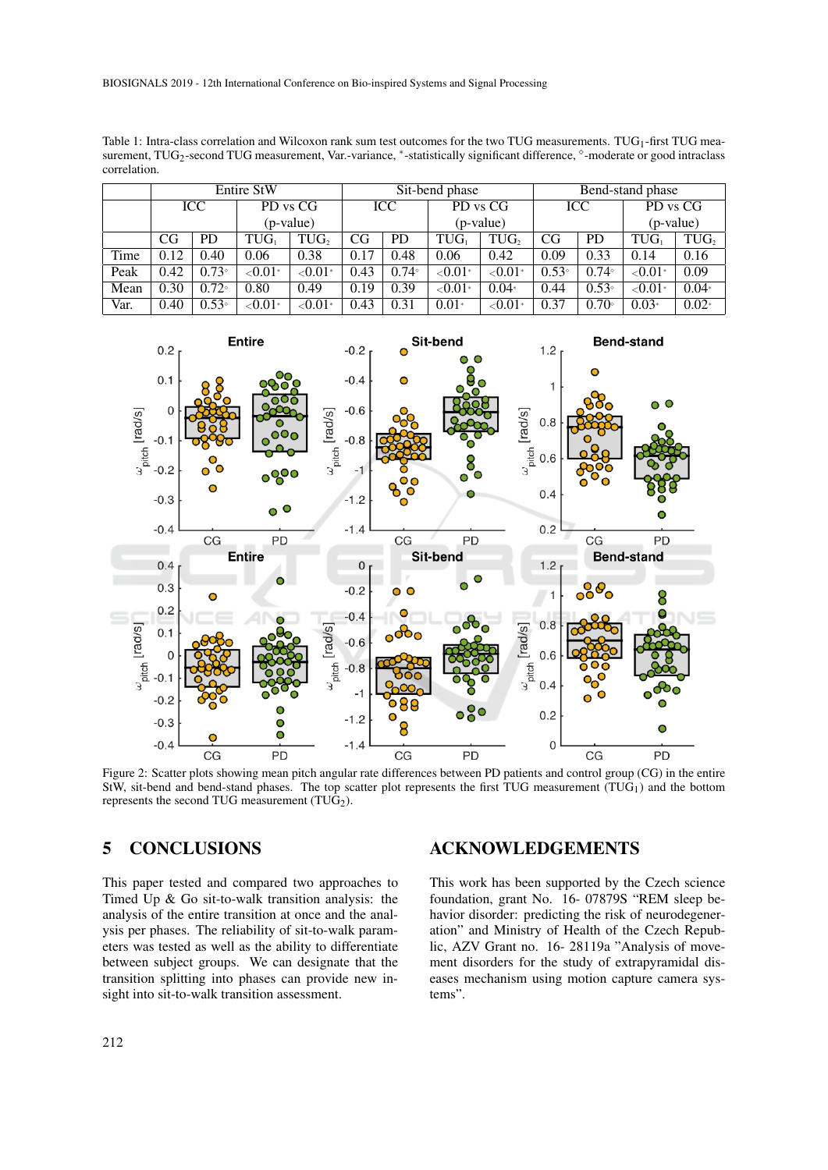Table 1: Intra-class correlation and Wilcoxon rank sum test outcomes for the two TUG measurements. TUG<sub>1</sub>-first TUG measurement, TUG<sub>2</sub>-second TUG measurement, Var.-variance, \*-statistically significant difference, °-moderate or good intraclass correlation.

|      | <b>Entire StW</b> |                |            |                  | Sit-bend phase |                |                 |                  | Bend-stand phase |                |                               |                  |
|------|-------------------|----------------|------------|------------------|----------------|----------------|-----------------|------------------|------------------|----------------|-------------------------------|------------------|
|      | ICC               |                | PD vs CG   |                  | ICC            |                | PD vs CG        |                  | ICC              |                | PD vs CG                      |                  |
|      |                   |                | (p-value)  |                  |                |                | (p-value)       |                  |                  |                | (p-value)                     |                  |
|      | CG                | PD             | TUG.       | TUG <sub>2</sub> | <b>CG</b>      | PD             | $TUG_1$         | TUG <sub>2</sub> | CG               | <b>PD</b>      | $\mathop{\rm TUG}\nolimits_1$ | TUG <sub>2</sub> |
| Time | 0.12              | 0.40           | 0.06       | 0.38             | 0.17           | 0.48           | 0.06            | 0.42             | 0.09             | 0.33           | 0.14                          | 0.16             |
| Peak | 0.42              | $0.73^{\circ}$ | ${<}0.01*$ | ${<}0.01*$       | 0.43           | $0.74^{\circ}$ | $\sqrt{0.01^*}$ | ${<}0.01*$       | $0.53^{\circ}$   | $0.74^{\circ}$ | ${<}0.01*$                    | 0.09             |
| Mean | 0.30              | $0.72^{\circ}$ | 0.80       | 0.49             | 0.19           | 0.39           | $\sqrt{0.01^*}$ | $0.04*$          | 0.44             | $0.53^{\circ}$ | $< 0.01$ *                    | $0.04*$          |
| Var. | 0.40              | $0.53^{\circ}$ | ${<}0.01*$ | $< 0.01$ *       | 0.43           | 0.31           | $0.01*$         | ${<}0.01*$       | 0.37             | $0.70^{\circ}$ | $0.03*$                       | $0.02*$          |



Figure 2: Scatter plots showing mean pitch angular rate differences between PD patients and control group (CG) in the entire StW, sit-bend and bend-stand phases. The top scatter plot represents the first TUG measurement  $(TUG_1)$  and the bottom represents the second TUG measurement  $(TU\hat{G}_2)$ .

## 5 CONCLUSIONS

This paper tested and compared two approaches to Timed Up & Go sit-to-walk transition analysis: the analysis of the entire transition at once and the analysis per phases. The reliability of sit-to-walk parameters was tested as well as the ability to differentiate between subject groups. We can designate that the transition splitting into phases can provide new insight into sit-to-walk transition assessment.

## ACKNOWLEDGEMENTS

This work has been supported by the Czech science foundation, grant No. 16- 07879S "REM sleep behavior disorder: predicting the risk of neurodegeneration" and Ministry of Health of the Czech Republic, AZV Grant no. 16- 28119a "Analysis of movement disorders for the study of extrapyramidal diseases mechanism using motion capture camera systems".